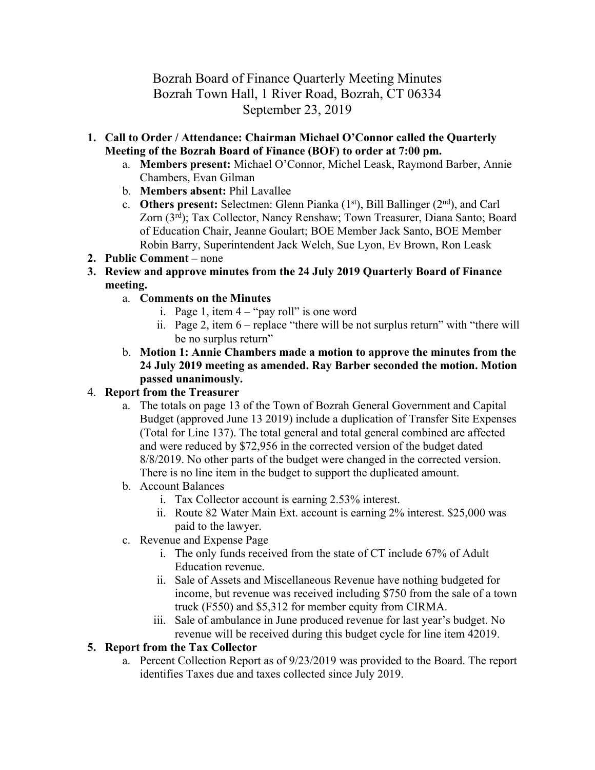# Bozrah Board of Finance Quarterly Meeting Minutes Bozrah Town Hall, 1 River Road, Bozrah, CT 06334 September 23, 2019

- **1. Call to Order / Attendance: Chairman Michael O'Connor called the Quarterly Meeting of the Bozrah Board of Finance (BOF) to order at 7:00 pm.**
	- a. **Members present:** Michael O'Connor, Michel Leask, Raymond Barber, Annie Chambers, Evan Gilman
	- b. **Members absent:** Phil Lavallee
	- c. **Others present:** Selectmen: Glenn Pianka (1st), Bill Ballinger (2nd), and Carl Zorn (3rd); Tax Collector, Nancy Renshaw; Town Treasurer, Diana Santo; Board of Education Chair, Jeanne Goulart; BOE Member Jack Santo, BOE Member Robin Barry, Superintendent Jack Welch, Sue Lyon, Ev Brown, Ron Leask
- **2. Public Comment –** none
- **3. Review and approve minutes from the 24 July 2019 Quarterly Board of Finance meeting.**
	- a. **Comments on the Minutes**
		- i. Page 1, item  $4 -$  "pay roll" is one word
		- ii. Page 2, item 6 replace "there will be not surplus return" with "there will be no surplus return"
	- b. **Motion 1: Annie Chambers made a motion to approve the minutes from the 24 July 2019 meeting as amended. Ray Barber seconded the motion. Motion passed unanimously.**

### 4. **Report from the Treasurer**

- a. The totals on page 13 of the Town of Bozrah General Government and Capital Budget (approved June 13 2019) include a duplication of Transfer Site Expenses (Total for Line 137). The total general and total general combined are affected and were reduced by \$72,956 in the corrected version of the budget dated 8/8/2019. No other parts of the budget were changed in the corrected version. There is no line item in the budget to support the duplicated amount.
- b. Account Balances
	- i. Tax Collector account is earning 2.53% interest.
	- ii. Route 82 Water Main Ext. account is earning 2% interest. \$25,000 was paid to the lawyer.
- c. Revenue and Expense Page
	- i. The only funds received from the state of CT include 67% of Adult Education revenue.
	- ii. Sale of Assets and Miscellaneous Revenue have nothing budgeted for income, but revenue was received including \$750 from the sale of a town truck (F550) and \$5,312 for member equity from CIRMA.
	- iii. Sale of ambulance in June produced revenue for last year's budget. No revenue will be received during this budget cycle for line item 42019.

### **5. Report from the Tax Collector**

a. Percent Collection Report as of 9/23/2019 was provided to the Board. The report identifies Taxes due and taxes collected since July 2019.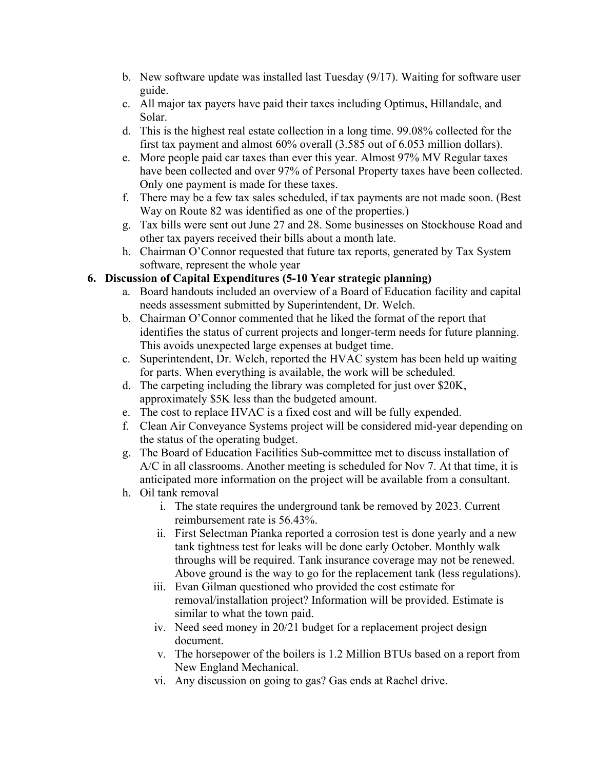- b. New software update was installed last Tuesday (9/17). Waiting for software user guide.
- c. All major tax payers have paid their taxes including Optimus, Hillandale, and Solar.
- d. This is the highest real estate collection in a long time. 99.08% collected for the first tax payment and almost 60% overall (3.585 out of 6.053 million dollars).
- e. More people paid car taxes than ever this year. Almost 97% MV Regular taxes have been collected and over 97% of Personal Property taxes have been collected. Only one payment is made for these taxes.
- f. There may be a few tax sales scheduled, if tax payments are not made soon. (Best Way on Route 82 was identified as one of the properties.)
- g. Tax bills were sent out June 27 and 28. Some businesses on Stockhouse Road and other tax payers received their bills about a month late.
- h. Chairman O'Connor requested that future tax reports, generated by Tax System software, represent the whole year

### **6. Discussion of Capital Expenditures (5-10 Year strategic planning)**

- a. Board handouts included an overview of a Board of Education facility and capital needs assessment submitted by Superintendent, Dr. Welch.
- b. Chairman O'Connor commented that he liked the format of the report that identifies the status of current projects and longer-term needs for future planning. This avoids unexpected large expenses at budget time.
- c. Superintendent, Dr. Welch, reported the HVAC system has been held up waiting for parts. When everything is available, the work will be scheduled.
- d. The carpeting including the library was completed for just over \$20K, approximately \$5K less than the budgeted amount.
- e. The cost to replace HVAC is a fixed cost and will be fully expended.
- f. Clean Air Conveyance Systems project will be considered mid-year depending on the status of the operating budget.
- g. The Board of Education Facilities Sub-committee met to discuss installation of A/C in all classrooms. Another meeting is scheduled for Nov 7. At that time, it is anticipated more information on the project will be available from a consultant.
- h. Oil tank removal
	- i. The state requires the underground tank be removed by 2023. Current reimbursement rate is 56.43%.
	- ii. First Selectman Pianka reported a corrosion test is done yearly and a new tank tightness test for leaks will be done early October. Monthly walk throughs will be required. Tank insurance coverage may not be renewed. Above ground is the way to go for the replacement tank (less regulations).
	- iii. Evan Gilman questioned who provided the cost estimate for removal/installation project? Information will be provided. Estimate is similar to what the town paid.
	- iv. Need seed money in 20/21 budget for a replacement project design document.
	- v. The horsepower of the boilers is 1.2 Million BTUs based on a report from New England Mechanical.
	- vi. Any discussion on going to gas? Gas ends at Rachel drive.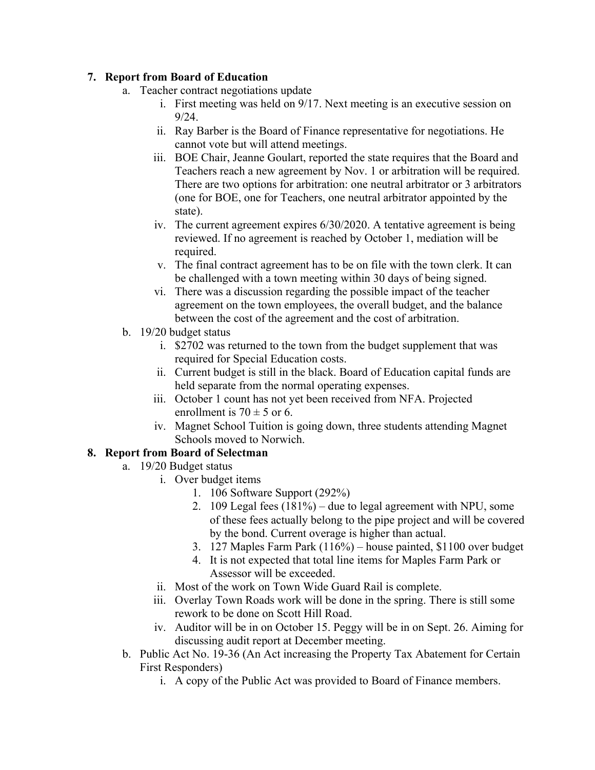#### **7. Report from Board of Education**

- a. Teacher contract negotiations update
	- i. First meeting was held on 9/17. Next meeting is an executive session on 9/24.
	- ii. Ray Barber is the Board of Finance representative for negotiations. He cannot vote but will attend meetings.
	- iii. BOE Chair, Jeanne Goulart, reported the state requires that the Board and Teachers reach a new agreement by Nov. 1 or arbitration will be required. There are two options for arbitration: one neutral arbitrator or 3 arbitrators (one for BOE, one for Teachers, one neutral arbitrator appointed by the state).
	- iv. The current agreement expires 6/30/2020. A tentative agreement is being reviewed. If no agreement is reached by October 1, mediation will be required.
	- v. The final contract agreement has to be on file with the town clerk. It can be challenged with a town meeting within 30 days of being signed.
	- vi. There was a discussion regarding the possible impact of the teacher agreement on the town employees, the overall budget, and the balance between the cost of the agreement and the cost of arbitration.
- b. 19/20 budget status
	- i. \$2702 was returned to the town from the budget supplement that was required for Special Education costs.
	- ii. Current budget is still in the black. Board of Education capital funds are held separate from the normal operating expenses.
	- iii. October 1 count has not yet been received from NFA. Projected enrollment is  $70 \pm 5$  or 6.
	- iv. Magnet School Tuition is going down, three students attending Magnet Schools moved to Norwich.

## **8. Report from Board of Selectman**

- a. 19/20 Budget status
	- i. Over budget items
		- 1. 106 Software Support (292%)
		- 2. 109 Legal fees (181%) due to legal agreement with NPU, some of these fees actually belong to the pipe project and will be covered by the bond. Current overage is higher than actual.
		- 3. 127 Maples Farm Park (116%) house painted, \$1100 over budget
		- 4. It is not expected that total line items for Maples Farm Park or Assessor will be exceeded.
	- ii. Most of the work on Town Wide Guard Rail is complete.
	- iii. Overlay Town Roads work will be done in the spring. There is still some rework to be done on Scott Hill Road.
	- iv. Auditor will be in on October 15. Peggy will be in on Sept. 26. Aiming for discussing audit report at December meeting.
- b. Public Act No. 19-36 (An Act increasing the Property Tax Abatement for Certain First Responders)
	- i. A copy of the Public Act was provided to Board of Finance members.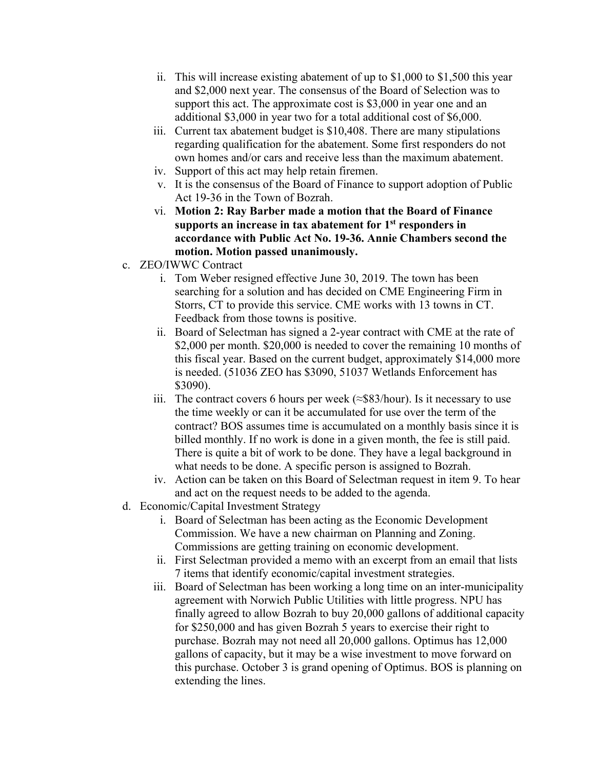- ii. This will increase existing abatement of up to \$1,000 to \$1,500 this year and \$2,000 next year. The consensus of the Board of Selection was to support this act. The approximate cost is \$3,000 in year one and an additional \$3,000 in year two for a total additional cost of \$6,000.
- iii. Current tax abatement budget is \$10,408. There are many stipulations regarding qualification for the abatement. Some first responders do not own homes and/or cars and receive less than the maximum abatement.
- iv. Support of this act may help retain firemen.
- v. It is the consensus of the Board of Finance to support adoption of Public Act 19-36 in the Town of Bozrah.
- vi. **Motion 2: Ray Barber made a motion that the Board of Finance supports an increase in tax abatement for 1st responders in accordance with Public Act No. 19-36. Annie Chambers second the motion. Motion passed unanimously.**
- c. ZEO/IWWC Contract
	- i. Tom Weber resigned effective June 30, 2019. The town has been searching for a solution and has decided on CME Engineering Firm in Storrs, CT to provide this service. CME works with 13 towns in CT. Feedback from those towns is positive.
	- ii. Board of Selectman has signed a 2-year contract with CME at the rate of \$2,000 per month. \$20,000 is needed to cover the remaining 10 months of this fiscal year. Based on the current budget, approximately \$14,000 more is needed. (51036 ZEO has \$3090, 51037 Wetlands Enforcement has \$3090).
	- iii. The contract covers 6 hours per week ( $\approx$ \$83/hour). Is it necessary to use the time weekly or can it be accumulated for use over the term of the contract? BOS assumes time is accumulated on a monthly basis since it is billed monthly. If no work is done in a given month, the fee is still paid. There is quite a bit of work to be done. They have a legal background in what needs to be done. A specific person is assigned to Bozrah.
	- iv. Action can be taken on this Board of Selectman request in item 9. To hear and act on the request needs to be added to the agenda.
- d. Economic/Capital Investment Strategy
	- i. Board of Selectman has been acting as the Economic Development Commission. We have a new chairman on Planning and Zoning. Commissions are getting training on economic development.
	- ii. First Selectman provided a memo with an excerpt from an email that lists 7 items that identify economic/capital investment strategies.
	- iii. Board of Selectman has been working a long time on an inter-municipality agreement with Norwich Public Utilities with little progress. NPU has finally agreed to allow Bozrah to buy 20,000 gallons of additional capacity for \$250,000 and has given Bozrah 5 years to exercise their right to purchase. Bozrah may not need all 20,000 gallons. Optimus has 12,000 gallons of capacity, but it may be a wise investment to move forward on this purchase. October 3 is grand opening of Optimus. BOS is planning on extending the lines.